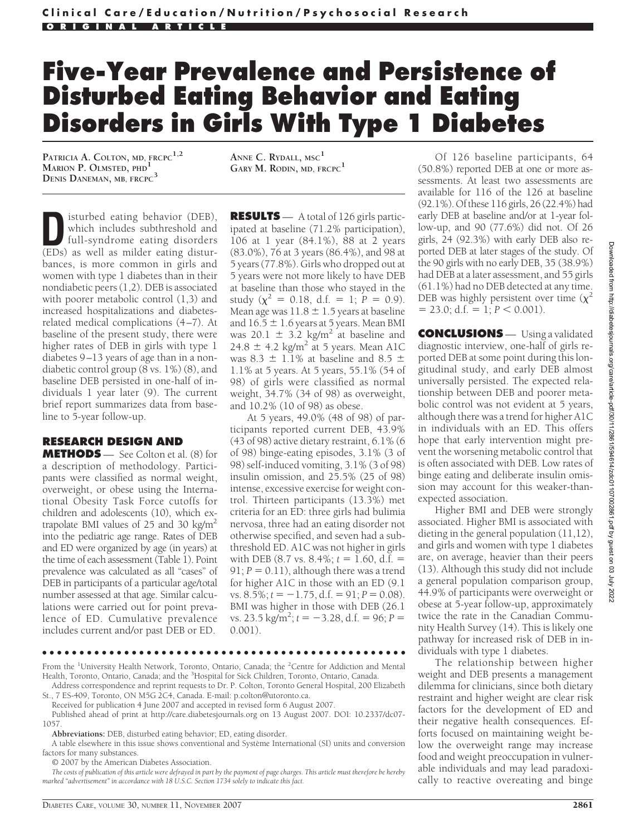## **Five-Year Prevalence and Persistence of Disturbed Eating Behavior and Eating Disorders in Girls With Type 1 Diabetes**

**PATRICIA A. COLTON, MD, FRCPC1,2 MARION P. OLMSTED, PHD<sup>1</sup> DENIS DANEMAN, MB, FRCPC<sup>3</sup>**

**ANNE C. RYDALL, MSC<sup>1</sup> GARY M. RODIN, MD, FRCPC<sup>1</sup>**

**D**isturbed eating behavior (DEB),<br>which includes subthreshold and<br>full-syndrome eating disorders<br>(FDs) as well as milder eating disturwhich includes subthreshold and (EDs) as well as milder eating disturbances, is more common in girls and women with type 1 diabetes than in their nondiabetic peers (1,2). DEB is associated with poorer metabolic control (1,3) and increased hospitalizations and diabetesrelated medical complications (4–7). At baseline of the present study, there were higher rates of DEB in girls with type 1 diabetes 9–13 years of age than in a nondiabetic control group (8 vs. 1%) (8), and baseline DEB persisted in one-half of individuals 1 year later (9). The current brief report summarizes data from baseline to 5-year follow-up.

## **RESEARCH DESIGN AND**

**METHODS** — See Colton et al. (8) for a description of methodology. Participants were classified as normal weight, overweight, or obese using the International Obesity Task Force cutoffs for children and adolescents (10), which extrapolate BMI values of 25 and 30 kg/m<sup>2</sup> into the pediatric age range. Rates of DEB and ED were organized by age (in years) at the time of each assessment (Table 1). Point prevalence was calculated as all "cases" of DEB in participants of a particular age/total number assessed at that age. Similar calculations were carried out for point prevalence of ED. Cumulative prevalence includes current and/or past DEB or ED.

**RESULTS** — A total of 126 girls participated at baseline (71.2% participation), 106 at 1 year (84.1%), 88 at 2 years (83.0%), 76 at 3 years (86.4%), and 98 at 5 years (77.8%). Girls who dropped out at 5 years were not more likely to have DEB at baseline than those who stayed in the study ( $\chi^2 = 0.18$ , d.f. = 1;  $\hat{P} = 0.9$ ). Mean age was  $11.8 \pm 1.5$  years at baseline and  $16.5 \pm 1.6$  years at 5 years. Mean BMI was 20.1  $\pm$  3.2 kg/m<sup>2</sup> at baseline and 24.8  $\pm$  4.2 kg/m<sup>2</sup> at 5 years. Mean A1C was 8.3  $\pm$  1.1% at baseline and 8.5  $\pm$ 1.1% at 5 years. At 5 years, 55.1% (54 of 98) of girls were classified as normal weight, 34.7% (34 of 98) as overweight, and 10.2% (10 of 98) as obese.

At 5 years, 49.0% (48 of 98) of participants reported current DEB, 43.9% (43 of 98) active dietary restraint, 6.1% (6 of 98) binge-eating episodes, 3.1% (3 of 98) self-induced vomiting, 3.1% (3 of 98) insulin omission, and 25.5% (25 of 98) intense, excessive exercise for weight control. Thirteen participants (13.3%) met criteria for an ED: three girls had bulimia nervosa, three had an eating disorder not otherwise specified, and seven had a subthreshold ED. A1C was not higher in girls with DEB  $(8.7 \text{ vs. } 8.4\%; t = 1.60, d.f. =$  $91; P = 0.11$ ), although there was a trend for higher A1C in those with an ED (9.1  $vs. 8.5\%; t = -1.75, d.f. = 91; P = 0.08).$ BMI was higher in those with DEB (26.1  $vs. 23.5 \text{ kg/m}^2$ ;  $t = -3.28$ , d.f. = 96;  $P =$ 0.001).

●●●●●●●●●●●●●●●●●●●●●●●●●●●●●●●●●●●●●●●●●●●●●●●●●

From the <sup>1</sup>University Health Network, Toronto, Ontario, Canada; the <sup>2</sup>Centre for Addiction and Mental Health, Toronto, Ontario, Canada; and the <sup>3</sup>Hospital for Sick Children, Toronto, Ontario, Canada.

Address correspondence and reprint requests to Dr. P. Colton, Toronto General Hospital, 200 Elizabeth St., 7 ES-409, Toronto, ON M5G 2C4, Canada. E-mail: p.colton@utoronto.ca.

Received for publication 4 June 2007 and accepted in revised form 6 August 2007.

Published ahead of print at http://care.diabetesjournals.org on 13 August 2007. DOI: 10.2337/dc07- 1057.

**Abbreviations:** DEB, disturbed eating behavior; ED, eating disorder.

A table elsewhere in this issue shows conventional and Système International (SI) units and conversion factors for many substances.

© 2007 by the American Diabetes Association.

*The costs of publication of this article were defrayed in part by the payment of page charges. This article must therefore be hereby marked "advertisement" in accordance with 18 U.S.C. Section 1734 solely to indicate this fact.*

Of 126 baseline participants, 64 (50.8%) reported DEB at one or more assessments. At least two assessments are available for 116 of the 126 at baseline (92.1%). Of these 116 girls, 26 (22.4%) had early DEB at baseline and/or at 1-year follow-up, and 90 (77.6%) did not. Of 26 girls, 24 (92.3%) with early DEB also reported DEB at later stages of the study. Of the 90 girls with no early DEB, 35 (38.9%) had DEB at a later assessment, and 55 girls (61.1%) had no DEB detected at any time. DEB was highly persistent over time  $(\chi^2)$  $= 23.0$ ; d.f.  $= 1$ ;  $P < 0.001$ ).

**CONCLUSIONS** — Using a validated diagnostic interview, one-half of girls reported DEB at some point during this longitudinal study, and early DEB almost universally persisted. The expected relationship between DEB and poorer metabolic control was not evident at 5 years, although there was a trend for higher A1C in individuals with an ED. This offers hope that early intervention might prevent the worsening metabolic control that is often associated with DEB. Low rates of binge eating and deliberate insulin omission may account for this weaker-thanexpected association.

Higher BMI and DEB were strongly associated. Higher BMI is associated with dieting in the general population (11,12), and girls and women with type 1 diabetes are, on average, heavier than their peers (13). Although this study did not include a general population comparison group, 44.9% of participants were overweight or obese at 5-year follow-up, approximately twice the rate in the Canadian Community Health Survey (14). This is likely one pathway for increased risk of DEB in individuals with type 1 diabetes.

The relationship between higher weight and DEB presents a management dilemma for clinicians, since both dietary restraint and higher weight are clear risk factors for the development of ED and their negative health consequences. Efforts focused on maintaining weight below the overweight range may increase food and weight preoccupation in vulnerable individuals and may lead paradoxically to reactive overeating and binge